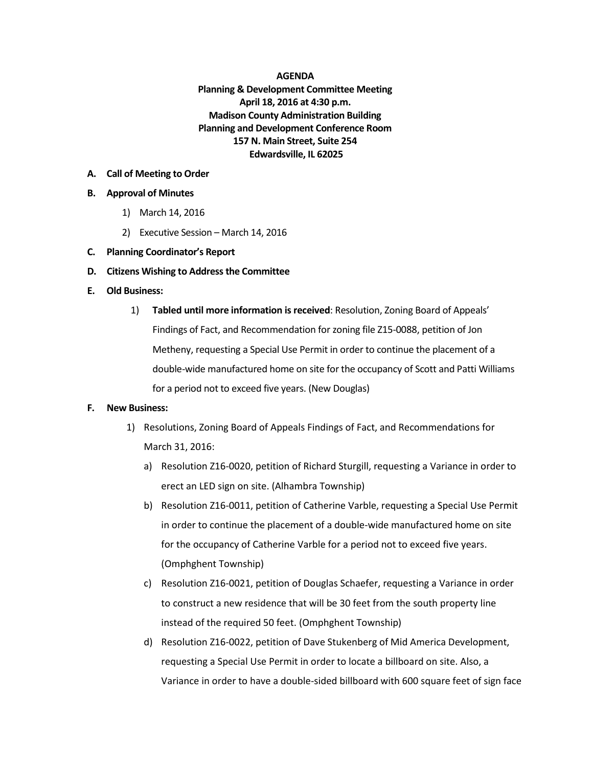#### **AGENDA Planning & Development Committee Meeting April 18, 2016 at 4:30 p.m. Madison County Administration Building Planning and Development Conference Room 157 N. Main Street, Suite 254 Edwardsville, IL 62025**

### **A. Call of Meeting to Order**

### **B. Approval of Minutes**

- 1) March 14, 2016
- 2) Executive Session March 14, 2016
- **C. Planning Coordinator's Report**
- **D. Citizens Wishing to Address the Committee**

## **E. Old Business:**

1) **Tabled until more information is received**: Resolution, Zoning Board of Appeals' Findings of Fact, and Recommendation for zoning file Z15-0088, petition of Jon Metheny, requesting a Special Use Permit in order to continue the placement of a double-wide manufactured home on site for the occupancy of Scott and Patti Williams for a period not to exceed five years. (New Douglas)

# **F. New Business:**

- 1) Resolutions, Zoning Board of Appeals Findings of Fact, and Recommendations for March 31, 2016:
	- a) Resolution Z16-0020, petition of Richard Sturgill, requesting a Variance in order to erect an LED sign on site. (Alhambra Township)
	- b) Resolution Z16-0011, petition of Catherine Varble, requesting a Special Use Permit in order to continue the placement of a double-wide manufactured home on site for the occupancy of Catherine Varble for a period not to exceed five years. (Omphghent Township)
	- c) Resolution Z16-0021, petition of Douglas Schaefer, requesting a Variance in order to construct a new residence that will be 30 feet from the south property line instead of the required 50 feet. (Omphghent Township)
	- d) Resolution Z16-0022, petition of Dave Stukenberg of Mid America Development, requesting a Special Use Permit in order to locate a billboard on site. Also, a Variance in order to have a double-sided billboard with 600 square feet of sign face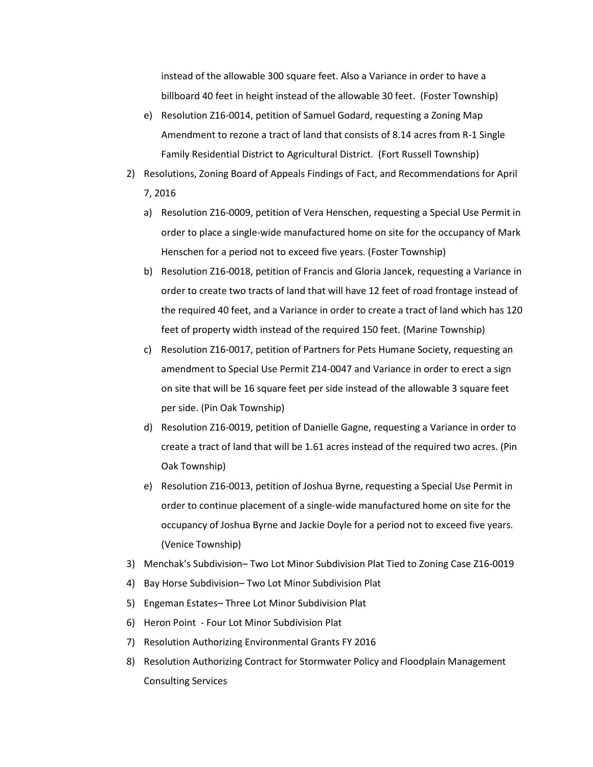instead of the allowable 300 square feet. Also a Variance in order to have a billboard 40 feet in height instead of the allowable 30 feet. (Foster Township)

- e) Resolution Z16-0014, petition of Samuel Godard, requesting a Zoning Map Amendment to rezone a tract of land that consists of 8.14 acres from R-1 Single Family Residential District to Agricultural District. (Fort Russell Township)
- 2) Resolutions, Zoning Board of Appeals Findings of Fact, and Recommendations for April 7, 2016
	- a) Resolution Z16-0009, petition of Vera Henschen, requesting a Special Use Permit in order to place a single-wide manufactured home on site for the occupancy of Mark Henschen for a period not to exceed five years. (Foster Township)
	- b) Resolution Z16-0018, petition of Francis and Gloria Jancek, requesting a Variance in order to create two tracts of land that will have 12 feet of road frontage instead of the required 40 feet, and a Variance in order to create a tract of land which has 120 feet of property width instead of the required 150 feet. (Marine Township)
	- c) Resolution Z16-0017, petition of Partners for Pets Humane Society, requesting an amendment to Special Use Permit Z14-0047 and Variance in order to erect a sign on site that will be 16 square feet per side instead of the allowable 3 square feet per side. (Pin Oak Township)
	- d) Resolution Z16-0019, petition of Danielle Gagne, requesting a Variance in order to create a tract of land that will be 1.61 acres instead of the required two acres. (Pin Oak Township)
	- e) Resolution Z16-0013, petition of Joshua Byrne, requesting a Special Use Permit in order to continue placement of a single-wide manufactured home on site for the occupancy of Joshua Byrne and Jackie Doyle for a period not to exceed five years. (Venice Township)
- 3) Menchak's Subdivision– Two Lot Minor Subdivision Plat Tied to Zoning Case Z16-0019
- 4) Bay Horse Subdivision– Two Lot Minor Subdivision Plat
- 5) Engeman Estates– Three Lot Minor Subdivision Plat
- 6) Heron Point Four Lot Minor Subdivision Plat
- 7) Resolution Authorizing Environmental Grants FY 2016
- 8) Resolution Authorizing Contract for Stormwater Policy and Floodplain Management Consulting Services